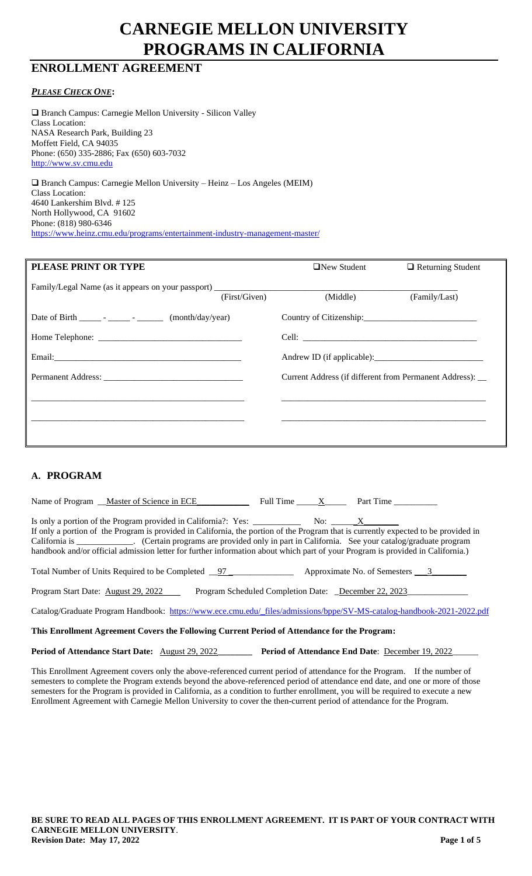# **CARNEGIE MELLON UNIVERSITY PROGRAMS IN CALIFORNIA**

# **ENROLLMENT AGREEMENT**

## *PLEASE CHECK ONE***:**

❑ Branch Campus: Carnegie Mellon University - Silicon Valley Class Location: NASA Research Park, Building 23 Moffett Field, CA 94035 Phone: (650) 335-2886; Fax (650) 603-7032 [http://www.sv.cmu.edu](http://www.sv.cmu.edu/)

❑ Branch Campus: Carnegie Mellon University – Heinz – Los Angeles (MEIM) Class Location: 4640 Lankershim Blvd. # 125 North Hollywood, CA 91602 Phone: (818) 980-6346 <https://www.heinz.cmu.edu/programs/entertainment-industry-management-master/>

| PLEASE PRINT OR TYPE                                       | $\Box$ New Student<br>$\Box$ Returning Student            |  |  |
|------------------------------------------------------------|-----------------------------------------------------------|--|--|
| (First/Given)                                              | (Middle)<br>(Family/Last)                                 |  |  |
| Date of Birth _______ - ______ - $\qquad$ (month/day/year) |                                                           |  |  |
|                                                            |                                                           |  |  |
|                                                            |                                                           |  |  |
|                                                            | Current Address (if different from Permanent Address): __ |  |  |
|                                                            |                                                           |  |  |
|                                                            |                                                           |  |  |
|                                                            |                                                           |  |  |

# **A. PROGRAM**

| If only a portion of the Program is provided in California, the portion of the Program that is currently expected to be provided in<br>California is ____________. (Certain programs are provided only in part in California. See your catalog/graduate program<br>handbook and/or official admission letter for further information about which part of your Program is provided in California.) |  |  |  |  |
|---------------------------------------------------------------------------------------------------------------------------------------------------------------------------------------------------------------------------------------------------------------------------------------------------------------------------------------------------------------------------------------------------|--|--|--|--|
| Total Number of Units Required to be Completed 97<br>Approximate No. of Semesters 3                                                                                                                                                                                                                                                                                                               |  |  |  |  |
| Program Start Date: August 29, 2022<br>Program Scheduled Completion Date: December 22, 2023                                                                                                                                                                                                                                                                                                       |  |  |  |  |
| Catalog/Graduate Program Handbook: https://www.ece.cmu.edu/_files/admissions/bppe/SV-MS-catalog-handbook-2021-2022.pdf                                                                                                                                                                                                                                                                            |  |  |  |  |
| This Enrollment Agreement Covers the Following Current Period of Attendance for the Program:                                                                                                                                                                                                                                                                                                      |  |  |  |  |
| <b>Period of Attendance Start Date:</b> August 29, 2022<br>Period of Attendance End Date: December 19, 2022                                                                                                                                                                                                                                                                                       |  |  |  |  |

This Enrollment Agreement covers only the above-referenced current period of attendance for the Program. If the number of semesters to complete the Program extends beyond the above-referenced period of attendance end date, and one or more of those semesters for the Program is provided in California, as a condition to further enrollment, you will be required to execute a new Enrollment Agreement with Carnegie Mellon University to cover the then-current period of attendance for the Program.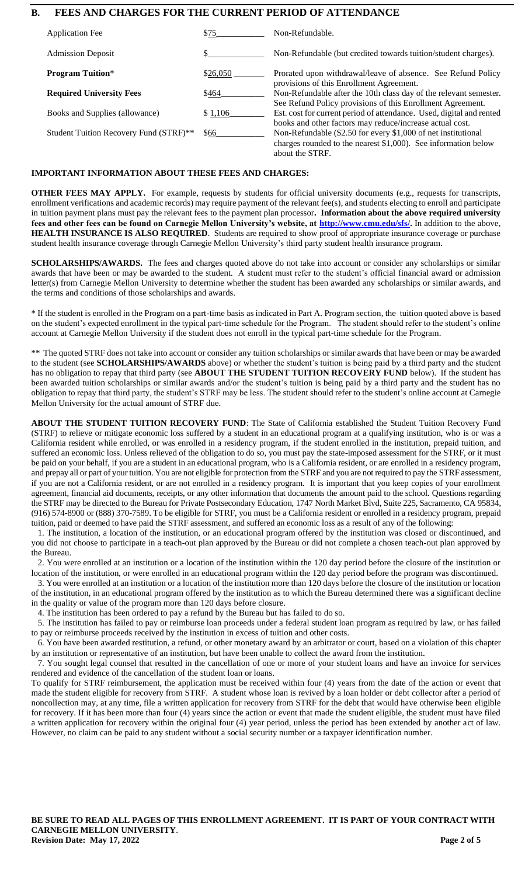# **B. FEES AND CHARGES FOR THE CURRENT PERIOD OF ATTENDANCE**

| <b>Application Fee</b>                 | \$75     | Non-Refundable.                                                                                                                                     |  |
|----------------------------------------|----------|-----------------------------------------------------------------------------------------------------------------------------------------------------|--|
| <b>Admission Deposit</b>               |          | Non-Refundable (but credited towards tuition/student charges).                                                                                      |  |
| <b>Program Tuition*</b>                | \$26,050 | Prorated upon withdrawal/leave of absence. See Refund Policy<br>provisions of this Enrollment Agreement.                                            |  |
| <b>Required University Fees</b>        | \$464    | Non-Refundable after the 10th class day of the relevant semester.<br>See Refund Policy provisions of this Enrollment Agreement.                     |  |
| Books and Supplies (allowance)         | \$1,106  | Est. cost for current period of attendance. Used, digital and rented<br>books and other factors may reduce/increase actual cost.                    |  |
| Student Tuition Recovery Fund (STRF)** | \$66     | Non-Refundable (\$2.50 for every \$1,000 of net institutional<br>charges rounded to the nearest $$1,000$ ). See information below<br>about the STRF |  |

#### **IMPORTANT INFORMATION ABOUT THESE FEES AND CHARGES:**

**OTHER FEES MAY APPLY.** For example, requests by students for official university documents (e.g., requests for transcripts, enrollment verifications and academic records) may require payment of the relevant fee(s), and students electing to enroll and participate in tuition payment plans must pay the relevant fees to the payment plan processor**. Information about the above required university fees and other fees can be found on Carnegie Mellon University's website, at [http://www.cmu.edu/sfs/.](http://www.cmu.edu/sfs/)** In addition to the above, **HEALTH INSURANCE IS ALSO REQUIRED**. Students are required to show proof of appropriate insurance coverage or purchase student health insurance coverage through Carnegie Mellon University's third party student health insurance program.

**SCHOLARSHIPS/AWARDS.** The fees and charges quoted above do not take into account or consider any scholarships or similar awards that have been or may be awarded to the student. A student must refer to the student's official financial award or admission letter(s) from Carnegie Mellon University to determine whether the student has been awarded any scholarships or similar awards, and the terms and conditions of those scholarships and awards.

\* If the student is enrolled in the Program on a part-time basis as indicated in Part A. Program section, the tuition quoted above is based on the student's expected enrollment in the typical part-time schedule for the Program. The student should refer to the student's online account at Carnegie Mellon University if the student does not enroll in the typical part-time schedule for the Program.

\*\* The quoted STRF does not take into account or consider any tuition scholarships or similar awards that have been or may be awarded to the student (see **SCHOLARSHIPS/AWARDS** above) or whether the student's tuition is being paid by a third party and the student has no obligation to repay that third party (see **ABOUT THE STUDENT TUITION RECOVERY FUND** below). If the student has been awarded tuition scholarships or similar awards and/or the student's tuition is being paid by a third party and the student has no obligation to repay that third party, the student's STRF may be less. The student should refer to the student's online account at Carnegie Mellon University for the actual amount of STRF due.

**ABOUT THE STUDENT TUITION RECOVERY FUND**: The State of California established the Student Tuition Recovery Fund (STRF) to relieve or mitigate economic loss suffered by a student in an educational program at a qualifying institution, who is or was a California resident while enrolled, or was enrolled in a residency program, if the student enrolled in the institution, prepaid tuition, and suffered an economic loss. Unless relieved of the obligation to do so, you must pay the state-imposed assessment for the STRF, or it must be paid on your behalf, if you are a student in an educational program, who is a California resident, or are enrolled in a residency program, and prepay all or part of your tuition. You are not eligible for protection from the STRF and you are not required to pay the STRF assessment, if you are not a California resident, or are not enrolled in a residency program. It is important that you keep copies of your enrollment agreement, financial aid documents, receipts, or any other information that documents the amount paid to the school. Questions regarding the STRF may be directed to the Bureau for Private Postsecondary Education, 1747 North Market Blvd, Suite 225, Sacramento, CA 95834, (916) 574-8900 or (888) 370-7589. To be eligible for STRF, you must be a California resident or enrolled in a residency program, prepaid tuition, paid or deemed to have paid the STRF assessment, and suffered an economic loss as a result of any of the following:

 1. The institution, a location of the institution, or an educational program offered by the institution was closed or discontinued, and you did not choose to participate in a teach-out plan approved by the Bureau or did not complete a chosen teach-out plan approved by the Bureau.

 2. You were enrolled at an institution or a location of the institution within the 120 day period before the closure of the institution or location of the institution, or were enrolled in an educational program within the 120 day period before the program was discontinued.

 3. You were enrolled at an institution or a location of the institution more than 120 days before the closure of the institution or location of the institution, in an educational program offered by the institution as to which the Bureau determined there was a significant decline in the quality or value of the program more than 120 days before closure.

4. The institution has been ordered to pay a refund by the Bureau but has failed to do so.

5. The institution has failed to pay or reimburse loan proceeds under a federal student loan program as required by law, or has failed to pay or reimburse proceeds received by the institution in excess of tuition and other costs.

 6. You have been awarded restitution, a refund, or other monetary award by an arbitrator or court, based on a violation of this chapter by an institution or representative of an institution, but have been unable to collect the award from the institution.

 7. You sought legal counsel that resulted in the cancellation of one or more of your student loans and have an invoice for services rendered and evidence of the cancellation of the student loan or loans.

To qualify for STRF reimbursement, the application must be received within four (4) years from the date of the action or event that made the student eligible for recovery from STRF. A student whose loan is revived by a loan holder or debt collector after a period of noncollection may, at any time, file a written application for recovery from STRF for the debt that would have otherwise been eligible for recovery. If it has been more than four (4) years since the action or event that made the student eligible, the student must have filed a written application for recovery within the original four (4) year period, unless the period has been extended by another act of law. However, no claim can be paid to any student without a social security number or a taxpayer identification number.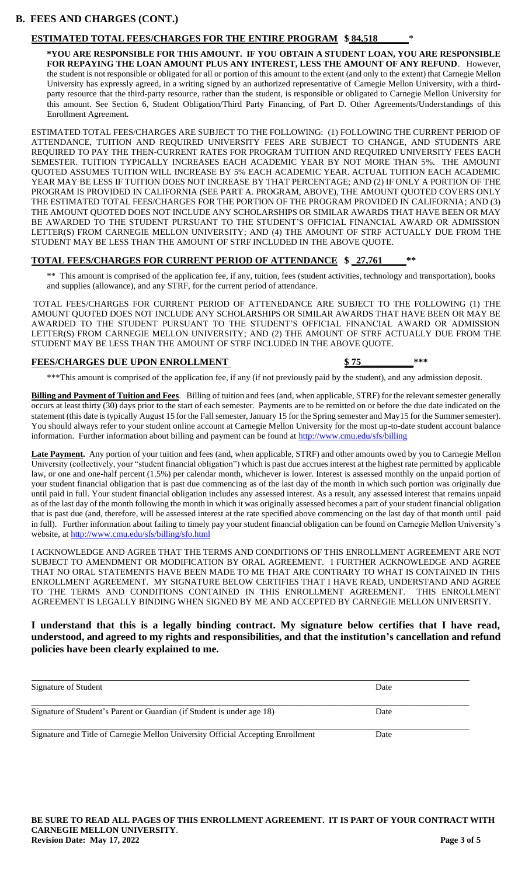#### **B. FEES AND CHARGES (CONT.)**

#### **ESTIMATED TOTAL FEES/CHARGES FOR THE ENTIRE PROGRAM \$ 84,518\_\_\_\_\_\_** \*

**\*YOU ARE RESPONSIBLE FOR THIS AMOUNT. IF YOU OBTAIN A STUDENT LOAN, YOU ARE RESPONSIBLE FOR REPAYING THE LOAN AMOUNT PLUS ANY INTEREST, LESS THE AMOUNT OF ANY REFUND**. However, the student is not responsible or obligated for all or portion of this amount to the extent (and only to the extent) that Carnegie Mellon University has expressly agreed, in a writing signed by an authorized representative of Carnegie Mellon University, with a thirdparty resource that the third-party resource, rather than the student, is responsible or obligated to Carnegie Mellon University for this amount. See Section 6, Student Obligation/Third Party Financing, of Part D. Other Agreements/Understandings of this Enrollment Agreement.

ESTIMATED TOTAL FEES/CHARGES ARE SUBJECT TO THE FOLLOWING: (1) FOLLOWING THE CURRENT PERIOD OF ATTENDANCE, TUITION AND REQUIRED UNIVERSITY FEES ARE SUBJECT TO CHANGE, AND STUDENTS ARE REQUIRED TO PAY THE THEN-CURRENT RATES FOR PROGRAM TUITION AND REQUIRED UNIVERSITY FEES EACH SEMESTER. TUITION TYPICALLY INCREASES EACH ACADEMIC YEAR BY NOT MORE THAN 5%. THE AMOUNT QUOTED ASSUMES TUITION WILL INCREASE BY 5% EACH ACADEMIC YEAR. ACTUAL TUITION EACH ACADEMIC YEAR MAY BE LESS IF TUITION DOES NOT INCREASE BY THAT PERCENTAGE; AND (2) IF ONLY A PORTION OF THE PROGRAM IS PROVIDED IN CALIFORNIA (SEE PART A. PROGRAM, ABOVE), THE AMOUNT QUOTED COVERS ONLY THE ESTIMATED TOTAL FEES/CHARGES FOR THE PORTION OF THE PROGRAM PROVIDED IN CALIFORNIA; AND (3) THE AMOUNT QUOTED DOES NOT INCLUDE ANY SCHOLARSHIPS OR SIMILAR AWARDS THAT HAVE BEEN OR MAY BE AWARDED TO THE STUDENT PURSUANT TO THE STUDENT'S OFFICIAL FINANCIAL AWARD OR ADMISSION LETTER(S) FROM CARNEGIE MELLON UNIVERSITY; AND (4) THE AMOUNT OF STRF ACTUALLY DUE FROM THE STUDENT MAY BE LESS THAN THE AMOUNT OF STRF INCLUDED IN THE ABOVE QUOTE.

#### **TOTAL FEES/CHARGES FOR CURRENT PERIOD OF ATTENDANCE \$ \_27,761\_\_\_\_\_\*\***

\*\* This amount is comprised of the application fee, if any, tuition, fees (student activities, technology and transportation), books and supplies (allowance), and any STRF, for the current period of attendance.

TOTAL FEES/CHARGES FOR CURRENT PERIOD OF ATTENEDANCE ARE SUBJECT TO THE FOLLOWING (1) THE AMOUNT QUOTED DOES NOT INCLUDE ANY SCHOLARSHIPS OR SIMILAR AWARDS THAT HAVE BEEN OR MAY BE AWARDED TO THE STUDENT PURSUANT TO THE STUDENT'S OFFICIAL FINANCIAL AWARD OR ADMISSION LETTER(S) FROM CARNEGIE MELLON UNIVERSITY; AND (2) THE AMOUNT OF STRF ACTUALLY DUE FROM THE STUDENT MAY BE LESS THAN THE AMOUNT OF STRF INCLUDED IN THE ABOVE QUOTE.

#### **FEES/CHARGES DUE UPON ENROLLMENT \$ 75\_\_\_\_\_\_\_\_\_\_\_\*\*\***

\*\*\*This amount is comprised of the application fee, if any (if not previously paid by the student), and any admission deposit.

**Billing and Payment of Tuition and Fees**. Billing of tuition and fees (and, when applicable, STRF) for the relevant semester generally occurs at least thirty (30) days prior to the start of each semester. Payments are to be remitted on or before the due date indicated on the statement (this date is typically August 15 for the Fall semester, January 15 for the Spring semester and May15 for the Summer semester). You should always refer to your student online account at Carnegie Mellon University for the most up-to-date student account balance information. Further information about billing and payment can be found at<http://www.cmu.edu/sfs/billing>

**Late Payment.** Any portion of your tuition and fees (and, when applicable, STRF) and other amounts owed by you to Carnegie Mellon University (collectively, your "student financial obligation") which is past due accrues interest at the highest rate permitted by applicable law, or one and one-half percent (1.5%) per calendar month, whichever is lower. Interest is assessed monthly on the unpaid portion of your student financial obligation that is past due commencing as of the last day of the month in which such portion was originally due until paid in full. Your student financial obligation includes any assessed interest. As a result, any assessed interest that remains unpaid as of the last day of the month following the month in which it was originally assessed becomes a part of your student financial obligation that is past due (and, therefore, will be assessed interest at the rate specified above commencing on the last day of that month until paid in full). Further information about failing to timely pay your student financial obligation can be found on Carnegie Mellon University's website, a[t http://www.cmu.edu/sfs/billing/sfo.html](http://www.cmu.edu/sfs/billing/sfo.html)

I ACKNOWLEDGE AND AGREE THAT THE TERMS AND CONDITIONS OF THIS ENROLLMENT AGREEMENT ARE NOT SUBJECT TO AMENDMENT OR MODIFICATION BY ORAL AGREEMENT. I FURTHER ACKNOWLEDGE AND AGREE THAT NO ORAL STATEMENTS HAVE BEEN MADE TO ME THAT ARE CONTRARY TO WHAT IS CONTAINED IN THIS ENROLLMENT AGREEMENT. MY SIGNATURE BELOW CERTIFIES THAT I HAVE READ, UNDERSTAND AND AGREE TO THE TERMS AND CONDITIONS CONTAINED IN THIS ENROLLMENT AGREEMENT. THIS ENROLLMENT AGREEMENT IS LEGALLY BINDING WHEN SIGNED BY ME AND ACCEPTED BY CARNEGIE MELLON UNIVERSITY.

## **I understand that this is a legally binding contract. My signature below certifies that I have read, understood, and agreed to my rights and responsibilities, and that the institution's cancellation and refund policies have been clearly explained to me.**

| Signature of Student                                                            | Date |  |
|---------------------------------------------------------------------------------|------|--|
| Signature of Student's Parent or Guardian (if Student is under age 18)          | Date |  |
| Signature and Title of Carnegie Mellon University Official Accepting Enrollment | Date |  |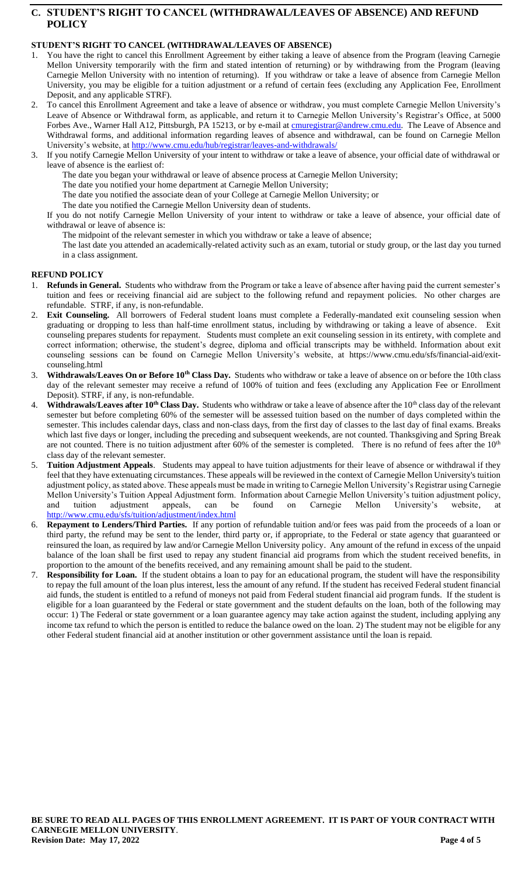# **C. STUDENT'S RIGHT TO CANCEL (WITHDRAWAL/LEAVES OF ABSENCE) AND REFUND POLICY**

# **STUDENT'S RIGHT TO CANCEL (WITHDRAWAL/LEAVES OF ABSENCE)**

- 1. You have the right to cancel this Enrollment Agreement by either taking a leave of absence from the Program (leaving Carnegie Mellon University temporarily with the firm and stated intention of returning) or by withdrawing from the Program (leaving Carnegie Mellon University with no intention of returning). If you withdraw or take a leave of absence from Carnegie Mellon University, you may be eligible for a tuition adjustment or a refund of certain fees (excluding any Application Fee, Enrollment Deposit, and any applicable STRF).
- 2. To cancel this Enrollment Agreement and take a leave of absence or withdraw, you must complete Carnegie Mellon University's Leave of Absence or Withdrawal form, as applicable, and return it to Carnegie Mellon University's Registrar's Office, at 5000 Forbes Ave., Warner Hall A12, Pittsburgh, PA 15213, or by e-mail at **cmuregistrar@andrew.cmu.edu**. The Leave of Absence and Withdrawal forms, and additional information regarding leaves of absence and withdrawal, can be found on Carnegie Mellon University's website, at<http://www.cmu.edu/hub/registrar/leaves-and-withdrawals/>
- If you notify Carnegie Mellon University of your intent to withdraw or take a leave of absence, your official date of withdrawal or leave of absence is the earliest of:
	- The date you began your withdrawal or leave of absence process at Carnegie Mellon University;
	- The date you notified your home department at Carnegie Mellon University;
	- The date you notified the associate dean of your College at Carnegie Mellon University; or
	- The date you notified the Carnegie Mellon University dean of students.
	- If you do not notify Carnegie Mellon University of your intent to withdraw or take a leave of absence, your official date of withdrawal or leave of absence is:
		- The midpoint of the relevant semester in which you withdraw or take a leave of absence;
		- The last date you attended an academically-related activity such as an exam, tutorial or study group, or the last day you turned in a class assignment.

#### **REFUND POLICY**

- 1. **Refunds in General.** Students who withdraw from the Program or take a leave of absence after having paid the current semester's tuition and fees or receiving financial aid are subject to the following refund and repayment policies. No other charges are refundable. STRF, if any, is non-refundable.
- 2. **Exit Counseling.** All borrowers of Federal student loans must complete a Federally-mandated exit counseling session when graduating or dropping to less than half-time enrollment status, including by withdrawing or taking a leave of absence. Exit counseling prepares students for repayment. Students must complete an exit counseling session in its entirety, with complete and correct information; otherwise, the student's degree, diploma and official transcripts may be withheld. Information about exit counseling sessions can be found on Carnegie Mellon University's website, at https://www.cmu.edu/sfs/financial-aid/exitcounseling.html
- 3. **Withdrawals/Leaves On or Before 10th Class Day.** Students who withdraw or take a leave of absence on or before the 10th class day of the relevant semester may receive a refund of 100% of tuition and fees (excluding any Application Fee or Enrollment Deposit). STRF, if any, is non-refundable.
- Withdrawals/Leaves after 10<sup>th</sup> Class Day. Students who withdraw or take a leave of absence after the 10<sup>th</sup> class day of the relevant semester but before completing 60% of the semester will be assessed tuition based on the number of days completed within the semester. This includes calendar days, class and non-class days, from the first day of classes to the last day of final exams. Breaks which last five days or longer, including the preceding and subsequent weekends, are not counted. Thanksgiving and Spring Break are not counted. There is no tuition adjustment after 60% of the semester is completed. There is no refund of fees after the 10<sup>th</sup> class day of the relevant semester.
- 5. **Tuition Adjustment Appeals**. Students may appeal to have tuition adjustments for their leave of absence or withdrawal if they feel that they have extenuating circumstances. These appeals will be reviewed in the context of Carnegie Mellon University's tuition adjustment policy, as stated above. These appeals must be made in writing to Carnegie Mellon University's Registrar using Carnegie Mellon University's Tuition Appeal Adjustment form. Information about Carnegie Mellon University's tuition adjustment policy, and tuition adjustment appeals, can be found on Carnegie Mellon University's website, at <http://www.cmu.edu/sfs/tuition/adjustment/index.html>
- 6. **Repayment to Lenders/Third Parties.** If any portion of refundable tuition and/or fees was paid from the proceeds of a loan or third party, the refund may be sent to the lender, third party or, if appropriate, to the Federal or state agency that guaranteed or reinsured the loan, as required by law and/or Carnegie Mellon University policy. Any amount of the refund in excess of the unpaid balance of the loan shall be first used to repay any student financial aid programs from which the student received benefits, in proportion to the amount of the benefits received, and any remaining amount shall be paid to the student.
- **Responsibility for Loan.** If the student obtains a loan to pay for an educational program, the student will have the responsibility to repay the full amount of the loan plus interest, less the amount of any refund. If the student has received Federal student financial aid funds, the student is entitled to a refund of moneys not paid from Federal student financial aid program funds. If the student is eligible for a loan guaranteed by the Federal or state government and the student defaults on the loan, both of the following may occur: 1) The Federal or state government or a loan guarantee agency may take action against the student, including applying any income tax refund to which the person is entitled to reduce the balance owed on the loan. 2) The student may not be eligible for any other Federal student financial aid at another institution or other government assistance until the loan is repaid.